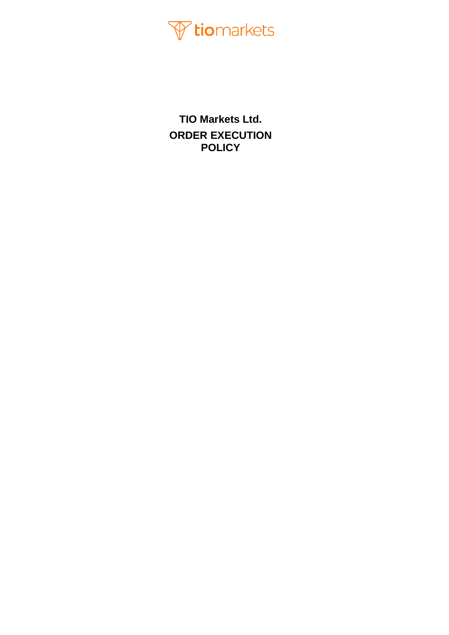

**TIO Markets Ltd. ORDER EXECUTION POLICY**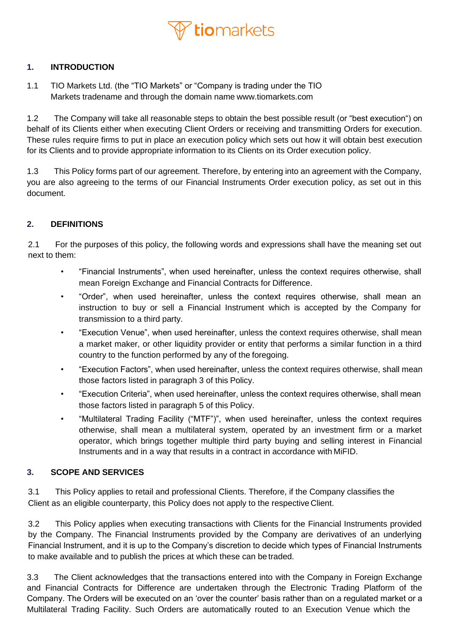

### **1. INTRODUCTION**

1.1 TIO Markets Ltd. (the "TIO Markets" or "Company is trading under the TIO Markets tradename and through the domain name [www.tiomarkets.com](http://www.tiomarkets.com/)

1.2 The Company will take all reasonable steps to obtain the best possible result (or "best execution") on behalf of its Clients either when executing Client Orders or receiving and transmitting Orders for execution. These rules require firms to put in place an execution policy which sets out how it will obtain best execution for its Clients and to provide appropriate information to its Clients on its Order execution policy.

1.3 This Policy forms part of our agreement. Therefore, by entering into an agreement with the Company, you are also agreeing to the terms of our Financial Instruments Order execution policy, as set out in this document.

### **2. DEFINITIONS**

2.1 For the purposes of this policy, the following words and expressions shall have the meaning set out next to them:

- "Financial Instruments", when used hereinafter, unless the context requires otherwise, shall mean Foreign Exchange and Financial Contracts for Difference.
- "Order", when used hereinafter, unless the context requires otherwise, shall mean an instruction to buy or sell a Financial Instrument which is accepted by the Company for transmission to a third party.
- "Execution Venue", when used hereinafter, unless the context requires otherwise, shall mean a market maker, or other liquidity provider or entity that performs a similar function in a third country to the function performed by any of the foregoing.
- "Execution Factors", when used hereinafter, unless the context requires otherwise, shall mean those factors listed in paragraph 3 of this Policy.
- "Execution Criteria", when used hereinafter, unless the context requires otherwise, shall mean those factors listed in paragraph 5 of this Policy.
- "Multilateral Trading Facility ("MTF")", when used hereinafter, unless the context requires otherwise, shall mean a multilateral system, operated by an investment firm or a market operator, which brings together multiple third party buying and selling interest in Financial Instruments and in a way that results in a contract in accordance with MiFID.

### **3. SCOPE AND SERVICES**

3.1 This Policy applies to retail and professional Clients. Therefore, if the Company classifies the Client as an eligible counterparty, this Policy does not apply to the respective Client.

3.2 This Policy applies when executing transactions with Clients for the Financial Instruments provided by the Company. The Financial Instruments provided by the Company are derivatives of an underlying Financial Instrument, and it is up to the Company's discretion to decide which types of Financial Instruments to make available and to publish the prices at which these can be traded.

3.3 The Client acknowledges that the transactions entered into with the Company in Foreign Exchange and Financial Contracts for Difference are undertaken through the Electronic Trading Platform of the Company. The Orders will be executed on an 'over the counter' basis rather than on a regulated market or a Multilateral Trading Facility. Such Orders are automatically routed to an Execution Venue which the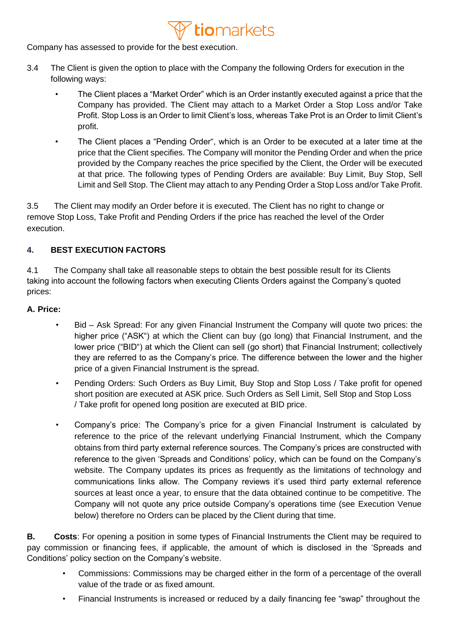### 7 **tio**markets

Company has assessed to provide for the best execution.

- 3.4 The Client is given the option to place with the Company the following Orders for execution in the following ways:
	- The Client places a "Market Order" which is an Order instantly executed against a price that the Company has provided. The Client may attach to a Market Order a Stop Loss and/or Take Profit. Stop Loss is an Order to limit Client's loss, whereas Take Prot is an Order to limit Client's profit.
	- The Client places a "Pending Order", which is an Order to be executed at a later time at the price that the Client specifies. The Company will monitor the Pending Order and when the price provided by the Company reaches the price specified by the Client, the Order will be executed at that price. The following types of Pending Orders are available: Buy Limit, Buy Stop, Sell Limit and Sell Stop. The Client may attach to any Pending Order a Stop Loss and/or Take Profit.

3.5 The Client may modify an Order before it is executed. The Client has no right to change or remove Stop Loss, Take Profit and Pending Orders if the price has reached the level of the Order execution.

### **4. BEST EXECUTION FACTORS**

4.1 The Company shall take all reasonable steps to obtain the best possible result for its Clients taking into account the following factors when executing Clients Orders against the Company's quoted prices:

### **A. Price:**

- Bid Ask Spread: For any given Financial Instrument the Company will quote two prices: the higher price ("ASK") at which the Client can buy (go long) that Financial Instrument, and the lower price ("BID") at which the Client can sell (go short) that Financial Instrument; collectively they are referred to as the Company's price. The difference between the lower and the higher price of a given Financial Instrument is the spread.
- Pending Orders: Such Orders as Buy Limit, Buy Stop and Stop Loss / Take profit for opened short position are executed at ASK price. Such Orders as Sell Limit, Sell Stop and Stop Loss / Take profit for opened long position are executed at BID price.
- Company's price: The Company's price for a given Financial Instrument is calculated by reference to the price of the relevant underlying Financial Instrument, which the Company obtains from third party external reference sources. The Company's prices are constructed with reference to the given 'Spreads and Conditions' policy, which can be found on the Company's website. The Company updates its prices as frequently as the limitations of technology and communications links allow. The Company reviews it's used third party external reference sources at least once a year, to ensure that the data obtained continue to be competitive. The Company will not quote any price outside Company's operations time (see Execution Venue below) therefore no Orders can be placed by the Client during that time.

**B. Costs**: For opening a position in some types of Financial Instruments the Client may be required to pay commission or financing fees, if applicable, the amount of which is disclosed in the 'Spreads and Conditions' policy section on the Company's website.

- Commissions: Commissions may be charged either in the form of a percentage of the overall value of the trade or as fixed amount.
- Financial Instruments is increased or reduced by a daily financing fee "swap" throughout the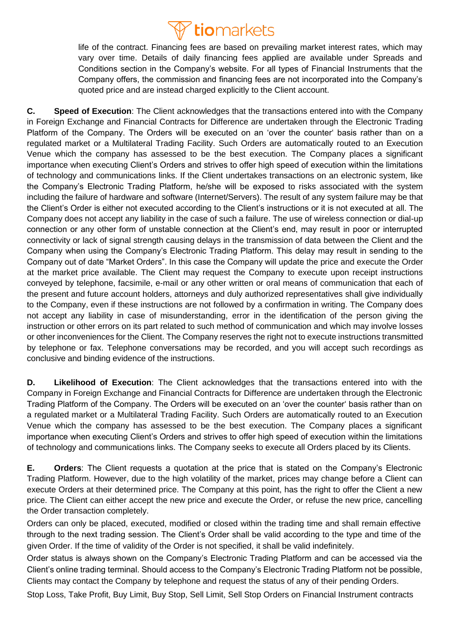

life of the contract. Financing fees are based on prevailing market interest rates, which may vary over time. Details of daily financing fees applied are available under Spreads and Conditions section in the Company's website. For all types of Financial Instruments that the Company offers, the commission and financing fees are not incorporated into the Company's quoted price and are instead charged explicitly to the Client account.

**C. Speed of Execution**: The Client acknowledges that the transactions entered into with the Company in Foreign Exchange and Financial Contracts for Difference are undertaken through the Electronic Trading Platform of the Company. The Orders will be executed on an 'over the counter' basis rather than on a regulated market or a Multilateral Trading Facility. Such Orders are automatically routed to an Execution Venue which the company has assessed to be the best execution. The Company places a significant importance when executing Client's Orders and strives to offer high speed of execution within the limitations of technology and communications links. If the Client undertakes transactions on an electronic system, like the Company's Electronic Trading Platform, he/she will be exposed to risks associated with the system including the failure of hardware and software (Internet/Servers). The result of any system failure may be that the Client's Order is either not executed according to the Client's instructions or it is not executed at all. The Company does not accept any liability in the case of such a failure. The use of wireless connection or dial-up connection or any other form of unstable connection at the Client's end, may result in poor or interrupted connectivity or lack of signal strength causing delays in the transmission of data between the Client and the Company when using the Company's Electronic Trading Platform. This delay may result in sending to the Company out of date "Market Orders". In this case the Company will update the price and execute the Order at the market price available. The Client may request the Company to execute upon receipt instructions conveyed by telephone, facsimile, e-mail or any other written or oral means of communication that each of the present and future account holders, attorneys and duly authorized representatives shall give individually to the Company, even if these instructions are not followed by a confirmation in writing. The Company does not accept any liability in case of misunderstanding, error in the identification of the person giving the instruction or other errors on its part related to such method of communication and which may involve losses or other inconveniences for the Client. The Company reserves the right not to execute instructions transmitted by telephone or fax. Telephone conversations may be recorded, and you will accept such recordings as conclusive and binding evidence of the instructions.

**D. Likelihood of Execution**: The Client acknowledges that the transactions entered into with the Company in Foreign Exchange and Financial Contracts for Difference are undertaken through the Electronic Trading Platform of the Company. The Orders will be executed on an 'over the counter' basis rather than on a regulated market or a Multilateral Trading Facility. Such Orders are automatically routed to an Execution Venue which the company has assessed to be the best execution. The Company places a significant importance when executing Client's Orders and strives to offer high speed of execution within the limitations of technology and communications links. The Company seeks to execute all Orders placed by its Clients.

**E. Orders**: The Client requests a quotation at the price that is stated on the Company's Electronic Trading Platform. However, due to the high volatility of the market, prices may change before a Client can execute Orders at their determined price. The Company at this point, has the right to offer the Client a new price. The Client can either accept the new price and execute the Order, or refuse the new price, cancelling the Order transaction completely.

Orders can only be placed, executed, modified or closed within the trading time and shall remain effective through to the next trading session. The Client's Order shall be valid according to the type and time of the given Order. If the time of validity of the Order is not specified, it shall be valid indefinitely.

Order status is always shown on the Company's Electronic Trading Platform and can be accessed via the Client's online trading terminal. Should access to the Company's Electronic Trading Platform not be possible, Clients may contact the Company by telephone and request the status of any of their pending Orders.

Stop Loss, Take Profit, Buy Limit, Buy Stop, Sell Limit, Sell Stop Orders on Financial Instrument contracts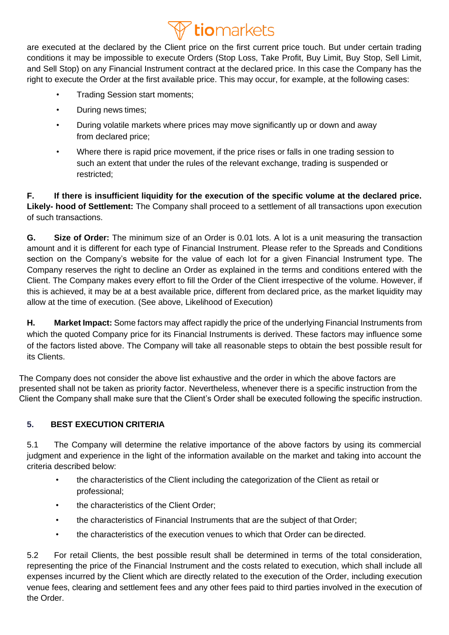# **Triomarkets**

are executed at the declared by the Client price on the first current price touch. But under certain trading conditions it may be impossible to execute Orders (Stop Loss, Take Profit, Buy Limit, Buy Stop, Sell Limit, and Sell Stop) on any Financial Instrument contract at the declared price. In this case the Company has the right to execute the Order at the first available price. This may occur, for example, at the following cases:

- Trading Session start moments;
- During news times;
- During volatile markets where prices may move significantly up or down and away from declared price;
- Where there is rapid price movement, if the price rises or falls in one trading session to such an extent that under the rules of the relevant exchange, trading is suspended or restricted;

**F. If there is insufficient liquidity for the execution of the specific volume at the declared price. Likely- hood of Settlement:** The Company shall proceed to a settlement of all transactions upon execution of such transactions.

**G. Size of Order:** The minimum size of an Order is 0.01 lots. A lot is a unit measuring the transaction amount and it is different for each type of Financial Instrument. Please refer to the Spreads and Conditions section on the Company's website for the value of each lot for a given Financial Instrument type. The Company reserves the right to decline an Order as explained in the terms and conditions entered with the Client. The Company makes every effort to fill the Order of the Client irrespective of the volume. However, if this is achieved, it may be at a best available price, different from declared price, as the market liquidity may allow at the time of execution. (See above, Likelihood of Execution)

**H. Market Impact:** Some factors may affect rapidly the price of the underlying Financial Instruments from which the quoted Company price for its Financial Instruments is derived. These factors may influence some of the factors listed above. The Company will take all reasonable steps to obtain the best possible result for its Clients.

The Company does not consider the above list exhaustive and the order in which the above factors are presented shall not be taken as priority factor. Nevertheless, whenever there is a specific instruction from the Client the Company shall make sure that the Client's Order shall be executed following the specific instruction.

### **5. BEST EXECUTION CRITERIA**

5.1 The Company will determine the relative importance of the above factors by using its commercial judgment and experience in the light of the information available on the market and taking into account the criteria described below:

- the characteristics of the Client including the categorization of the Client as retail or professional;
- the characteristics of the Client Order;
- the characteristics of Financial Instruments that are the subject of that Order;
- the characteristics of the execution venues to which that Order can be directed.

5.2 For retail Clients, the best possible result shall be determined in terms of the total consideration, representing the price of the Financial Instrument and the costs related to execution, which shall include all expenses incurred by the Client which are directly related to the execution of the Order, including execution venue fees, clearing and settlement fees and any other fees paid to third parties involved in the execution of the Order.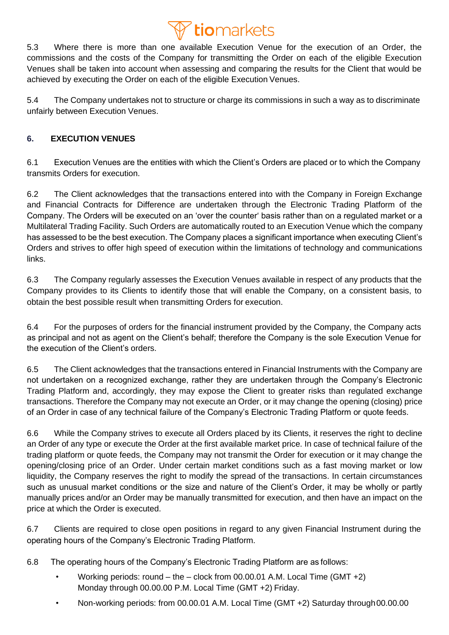## **Triomarkets**

5.3 Where there is more than one available Execution Venue for the execution of an Order, the commissions and the costs of the Company for transmitting the Order on each of the eligible Execution Venues shall be taken into account when assessing and comparing the results for the Client that would be achieved by executing the Order on each of the eligible Execution Venues.

5.4 The Company undertakes not to structure or charge its commissions in such a way as to discriminate unfairly between Execution Venues.

### **6. EXECUTION VENUES**

6.1 Execution Venues are the entities with which the Client's Orders are placed or to which the Company transmits Orders for execution.

6.2 The Client acknowledges that the transactions entered into with the Company in Foreign Exchange and Financial Contracts for Difference are undertaken through the Electronic Trading Platform of the Company. The Orders will be executed on an 'over the counter' basis rather than on a regulated market or a Multilateral Trading Facility. Such Orders are automatically routed to an Execution Venue which the company has assessed to be the best execution. The Company places a significant importance when executing Client's Orders and strives to offer high speed of execution within the limitations of technology and communications links.

6.3 The Company regularly assesses the Execution Venues available in respect of any products that the Company provides to its Clients to identify those that will enable the Company, on a consistent basis, to obtain the best possible result when transmitting Orders for execution.

6.4 For the purposes of orders for the financial instrument provided by the Company, the Company acts as principal and not as agent on the Client's behalf; therefore the Company is the sole Execution Venue for the execution of the Client's orders.

6.5 The Client acknowledges that the transactions entered in Financial Instruments with the Company are not undertaken on a recognized exchange, rather they are undertaken through the Company's Electronic Trading Platform and, accordingly, they may expose the Client to greater risks than regulated exchange transactions. Therefore the Company may not execute an Order, or it may change the opening (closing) price of an Order in case of any technical failure of the Company's Electronic Trading Platform or quote feeds.

6.6 While the Company strives to execute all Orders placed by its Clients, it reserves the right to decline an Order of any type or execute the Order at the first available market price. In case of technical failure of the trading platform or quote feeds, the Company may not transmit the Order for execution or it may change the opening/closing price of an Order. Under certain market conditions such as a fast moving market or low liquidity, the Company reserves the right to modify the spread of the transactions. In certain circumstances such as unusual market conditions or the size and nature of the Client's Order, it may be wholly or partly manually prices and/or an Order may be manually transmitted for execution, and then have an impact on the price at which the Order is executed.

6.7 Clients are required to close open positions in regard to any given Financial Instrument during the operating hours of the Company's Electronic Trading Platform.

6.8 The operating hours of the Company's Electronic Trading Platform are as follows:

- Working periods: round the clock from 00.00.01 A.M. Local Time (GMT +2) Monday through 00.00.00 P.M. Local Time (GMT +2) Friday.
- Non-working periods: from 00.00.01 A.M. Local Time (GMT +2) Saturday through00.00.00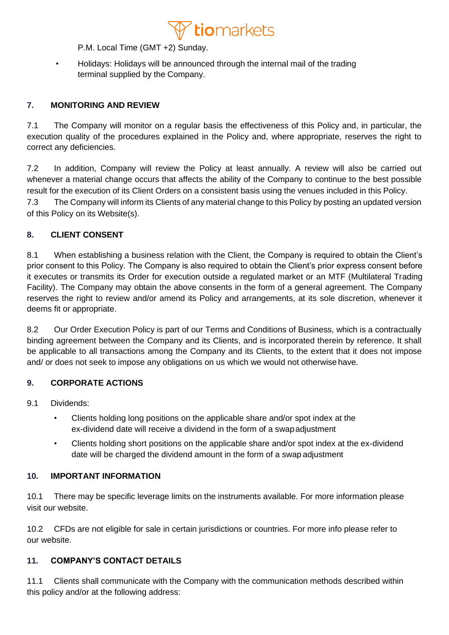

P.M. Local Time (GMT +2) Sunday.

• Holidays: Holidays will be announced through the internal mail of the trading terminal supplied by the Company.

### **7. MONITORING AND REVIEW**

7.1 The Company will monitor on a regular basis the effectiveness of this Policy and, in particular, the execution quality of the procedures explained in the Policy and, where appropriate, reserves the right to correct any deficiencies.

7.2 In addition, Company will review the Policy at least annually. A review will also be carried out whenever a material change occurs that affects the ability of the Company to continue to the best possible result for the execution of its Client Orders on a consistent basis using the venues included in this Policy.

7.3 The Company will inform its Clients of any material change to this Policy by posting an updated version of this Policy on its Website(s).

### **8. CLIENT CONSENT**

8.1 When establishing a business relation with the Client, the Company is required to obtain the Client's prior consent to this Policy. The Company is also required to obtain the Client's prior express consent before it executes or transmits its Order for execution outside a regulated market or an MTF (Multilateral Trading Facility). The Company may obtain the above consents in the form of a general agreement. The Company reserves the right to review and/or amend its Policy and arrangements, at its sole discretion, whenever it deems fit or appropriate.

8.2 Our Order Execution Policy is part of our Terms and Conditions of Business, which is a contractually binding agreement between the Company and its Clients, and is incorporated therein by reference. It shall be applicable to all transactions among the Company and its Clients, to the extent that it does not impose and/ or does not seek to impose any obligations on us which we would not otherwise have.

### **9. CORPORATE ACTIONS**

9.1 Dividends:

- Clients holding long positions on the applicable share and/or spot index at the ex-dividend date will receive a dividend in the form of a swapadjustment
- Clients holding short positions on the applicable share and/or spot index at the ex-dividend date will be charged the dividend amount in the form of a swap adjustment

#### **10. IMPORTANT INFORMATION**

10.1 There may be specific leverage limits on the instruments available. For more information please visit our website.

10.2 CFDs are not eligible for sale in certain jurisdictions or countries. For more info please refer to our website.

### **11. COMPANY'S CONTACT DETAILS**

11.1 Clients shall communicate with the Company with the communication methods described within this policy and/or at the following address: